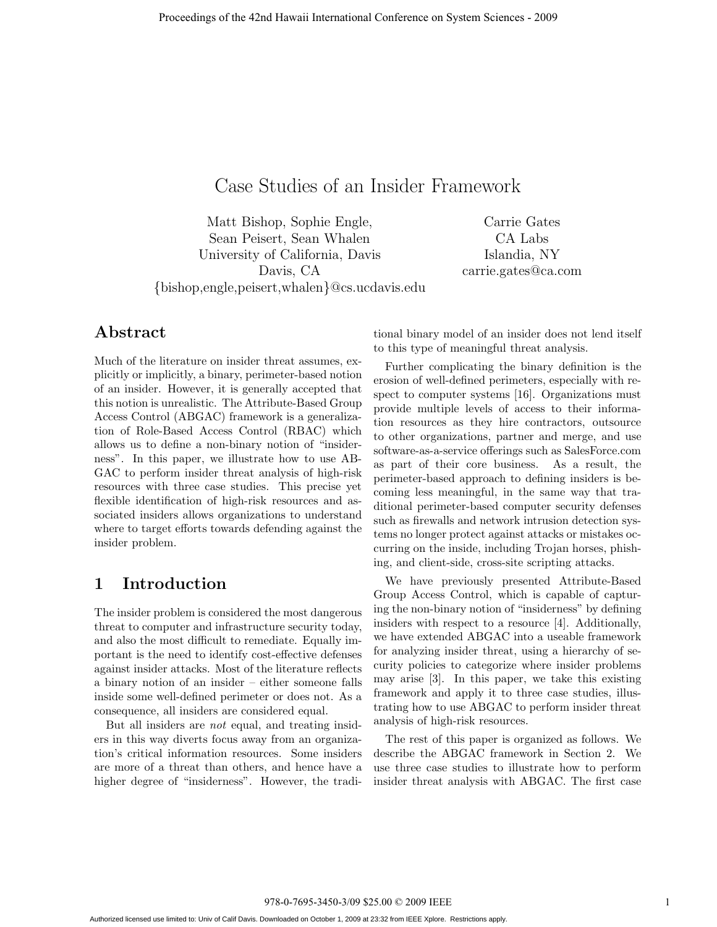# Case Studies of an Insider Framework

Matt Bishop, Sophie Engle, Sean Peisert, Sean Whalen University of California, Davis Davis, CA {bishop,engle,peisert,whalen}@cs.ucdavis.edu

Carrie Gates CA Labs Islandia, NY carrie.gates@ca.com

### **Abstract**

Much of the literature on insider threat assumes, explicitly or implicitly, a binary, perimeter-based notion of an insider. However, it is generally accepted that this notion is unrealistic. The Attribute-Based Group Access Control (ABGAC) framework is a generalization of Role-Based Access Control (RBAC) which allows us to define a non-binary notion of "insiderness". In this paper, we illustrate how to use AB-GAC to perform insider threat analysis of high-risk resources with three case studies. This precise yet flexible identification of high-risk resources and associated insiders allows organizations to understand where to target efforts towards defending against the insider problem.

#### **1 Introduction**

The insider problem is considered the most dangerous threat to computer and infrastructure security today, and also the most difficult to remediate. Equally important is the need to identify cost-effective defenses against insider attacks. Most of the literature reflects a binary notion of an insider – either someone falls inside some well-defined perimeter or does not. As a consequence, all insiders are considered equal.

But all insiders are not equal, and treating insiders in this way diverts focus away from an organization's critical information resources. Some insiders are more of a threat than others, and hence have a higher degree of "insiderness". However, the traditional binary model of an insider does not lend itself to this type of meaningful threat analysis.

Further complicating the binary definition is the erosion of well-defined perimeters, especially with respect to computer systems [16]. Organizations must provide multiple levels of access to their information resources as they hire contractors, outsource to other organizations, partner and merge, and use software-as-a-service offerings such as SalesForce.com as part of their core business. As a result, the perimeter-based approach to defining insiders is becoming less meaningful, in the same way that traditional perimeter-based computer security defenses such as firewalls and network intrusion detection systems no longer protect against attacks or mistakes occurring on the inside, including Trojan horses, phishing, and client-side, cross-site scripting attacks.

We have previously presented Attribute-Based Group Access Control, which is capable of capturing the non-binary notion of "insiderness" by defining insiders with respect to a resource [4]. Additionally, we have extended ABGAC into a useable framework for analyzing insider threat, using a hierarchy of security policies to categorize where insider problems may arise [3]. In this paper, we take this existing framework and apply it to three case studies, illustrating how to use ABGAC to perform insider threat analysis of high-risk resources.

The rest of this paper is organized as follows. We describe the ABGAC framework in Section 2. We use three case studies to illustrate how to perform insider threat analysis with ABGAC. The first case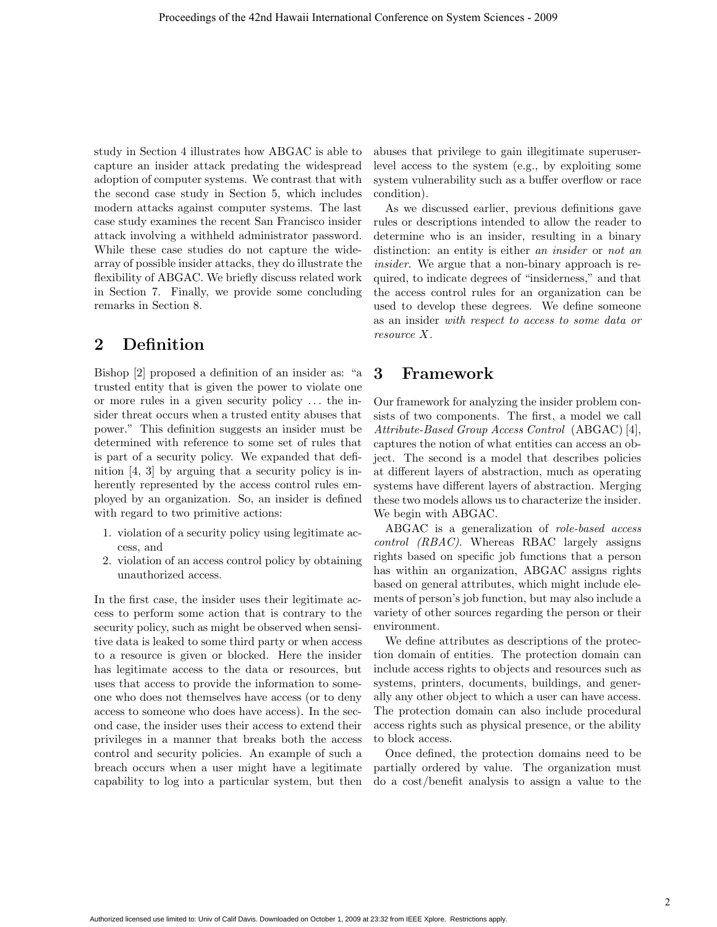study in Section 4 illustrates how ABGAC is able to capture an insider attack predating the widespread adoption of computer systems. We contrast that with the second case study in Section 5, which includes modern attacks against computer systems. The last case study examines the recent San Francisco insider attack involving a withheld administrator password. While these case studies do not capture the widearray of possible insider attacks, they do illustrate the flexibility of ABGAC. We briefly discuss related work in Section 7. Finally, we provide some concluding remarks in Section 8.

### **2 Definition**

Bishop [2] proposed a definition of an insider as: "a trusted entity that is given the power to violate one or more rules in a given security policy ... the insider threat occurs when a trusted entity abuses that power." This definition suggests an insider must be determined with reference to some set of rules that is part of a security policy. We expanded that definition [4, 3] by arguing that a security policy is inherently represented by the access control rules employed by an organization. So, an insider is defined with regard to two primitive actions:

- 1. violation of a security policy using legitimate access, and
- 2. violation of an access control policy by obtaining unauthorized access.

In the first case, the insider uses their legitimate access to perform some action that is contrary to the security policy, such as might be observed when sensitive data is leaked to some third party or when access to a resource is given or blocked. Here the insider has legitimate access to the data or resources, but uses that access to provide the information to someone who does not themselves have access (or to deny access to someone who does have access). In the second case, the insider uses their access to extend their privileges in a manner that breaks both the access control and security policies. An example of such a breach occurs when a user might have a legitimate capability to log into a particular system, but then abuses that privilege to gain illegitimate superuserlevel access to the system (e.g., by exploiting some system vulnerability such as a buffer overflow or race condition).

As we discussed earlier, previous definitions gave rules or descriptions intended to allow the reader to determine who is an insider, resulting in a binary distinction: an entity is either an insider or not an insider. We argue that a non-binary approach is required, to indicate degrees of "insiderness," and that the access control rules for an organization can be used to develop these degrees. We define someone as an insider with respect to access to some data or resource X.

#### **3 Framework**

Our framework for analyzing the insider problem consists of two components. The first, a model we call Attribute-Based Group Access Control (ABGAC) [4], captures the notion of what entities can access an object. The second is a model that describes policies at different layers of abstraction, much as operating systems have different layers of abstraction. Merging these two models allows us to characterize the insider. We begin with ABGAC.

ABGAC is a generalization of role-based access control (RBAC). Whereas RBAC largely assigns rights based on specific job functions that a person has within an organization, ABGAC assigns rights based on general attributes, which might include elements of person's job function, but may also include a variety of other sources regarding the person or their environment.

We define attributes as descriptions of the protection domain of entities. The protection domain can include access rights to objects and resources such as systems, printers, documents, buildings, and generally any other object to which a user can have access. The protection domain can also include procedural access rights such as physical presence, or the ability to block access.

Once defined, the protection domains need to be partially ordered by value. The organization must do a cost/benefit analysis to assign a value to the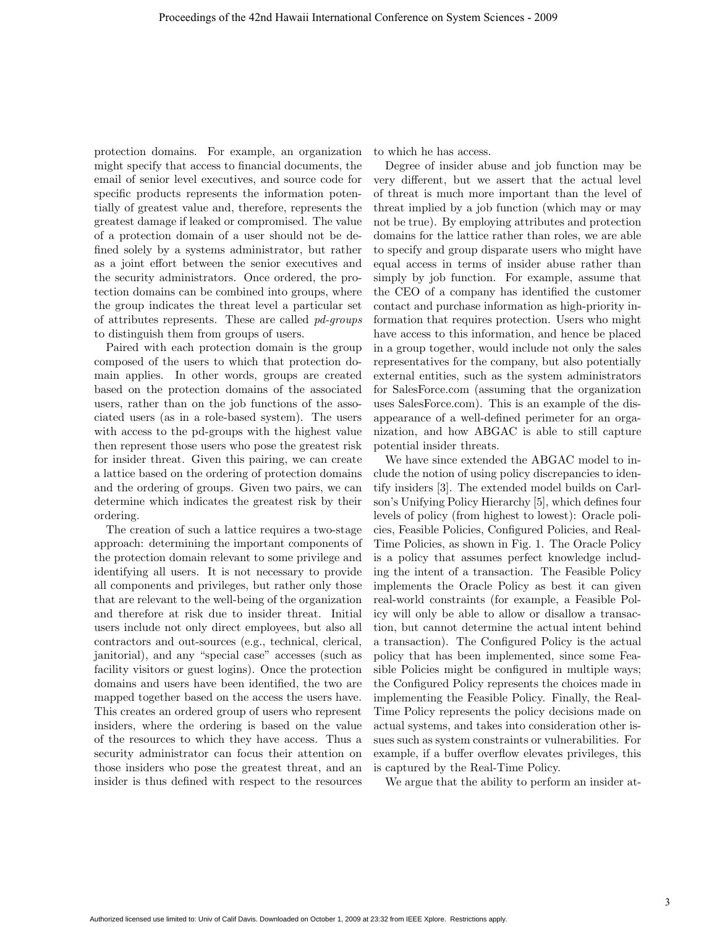protection domains. For example, an organization might specify that access to financial documents, the email of senior level executives, and source code for specific products represents the information potentially of greatest value and, therefore, represents the greatest damage if leaked or compromised. The value of a protection domain of a user should not be defined solely by a systems administrator, but rather as a joint effort between the senior executives and the security administrators. Once ordered, the protection domains can be combined into groups, where the group indicates the threat level a particular set of attributes represents. These are called pd-groups to distinguish them from groups of users.

Paired with each protection domain is the group composed of the users to which that protection domain applies. In other words, groups are created based on the protection domains of the associated users, rather than on the job functions of the associated users (as in a role-based system). The users with access to the pd-groups with the highest value then represent those users who pose the greatest risk for insider threat. Given this pairing, we can create a lattice based on the ordering of protection domains and the ordering of groups. Given two pairs, we can determine which indicates the greatest risk by their ordering.

The creation of such a lattice requires a two-stage approach: determining the important components of the protection domain relevant to some privilege and identifying all users. It is not necessary to provide all components and privileges, but rather only those that are relevant to the well-being of the organization and therefore at risk due to insider threat. Initial users include not only direct employees, but also all contractors and out-sources (e.g., technical, clerical, janitorial), and any "special case" accesses (such as facility visitors or guest logins). Once the protection domains and users have been identified, the two are mapped together based on the access the users have. This creates an ordered group of users who represent insiders, where the ordering is based on the value of the resources to which they have access. Thus a security administrator can focus their attention on those insiders who pose the greatest threat, and an insider is thus defined with respect to the resources

to which he has access.

Degree of insider abuse and job function may be very different, but we assert that the actual level of threat is much more important than the level of threat implied by a job function (which may or may not be true). By employing attributes and protection domains for the lattice rather than roles, we are able to specify and group disparate users who might have equal access in terms of insider abuse rather than simply by job function. For example, assume that the CEO of a company has identified the customer contact and purchase information as high-priority information that requires protection. Users who might have access to this information, and hence be placed in a group together, would include not only the sales representatives for the company, but also potentially external entities, such as the system administrators for SalesForce.com (assuming that the organization uses SalesForce.com). This is an example of the disappearance of a well-defined perimeter for an organization, and how ABGAC is able to still capture potential insider threats.

We have since extended the ABGAC model to include the notion of using policy discrepancies to identify insiders [3]. The extended model builds on Carlson's Unifying Policy Hierarchy [5], which defines four levels of policy (from highest to lowest): Oracle policies, Feasible Policies, Configured Policies, and Real-Time Policies, as shown in Fig. 1. The Oracle Policy is a policy that assumes perfect knowledge including the intent of a transaction. The Feasible Policy implements the Oracle Policy as best it can given real-world constraints (for example, a Feasible Policy will only be able to allow or disallow a transaction, but cannot determine the actual intent behind a transaction). The Configured Policy is the actual policy that has been implemented, since some Feasible Policies might be configured in multiple ways; the Configured Policy represents the choices made in implementing the Feasible Policy. Finally, the Real-Time Policy represents the policy decisions made on actual systems, and takes into consideration other issues such as system constraints or vulnerabilities. For example, if a buffer overflow elevates privileges, this is captured by the Real-Time Policy.

We argue that the ability to perform an insider at-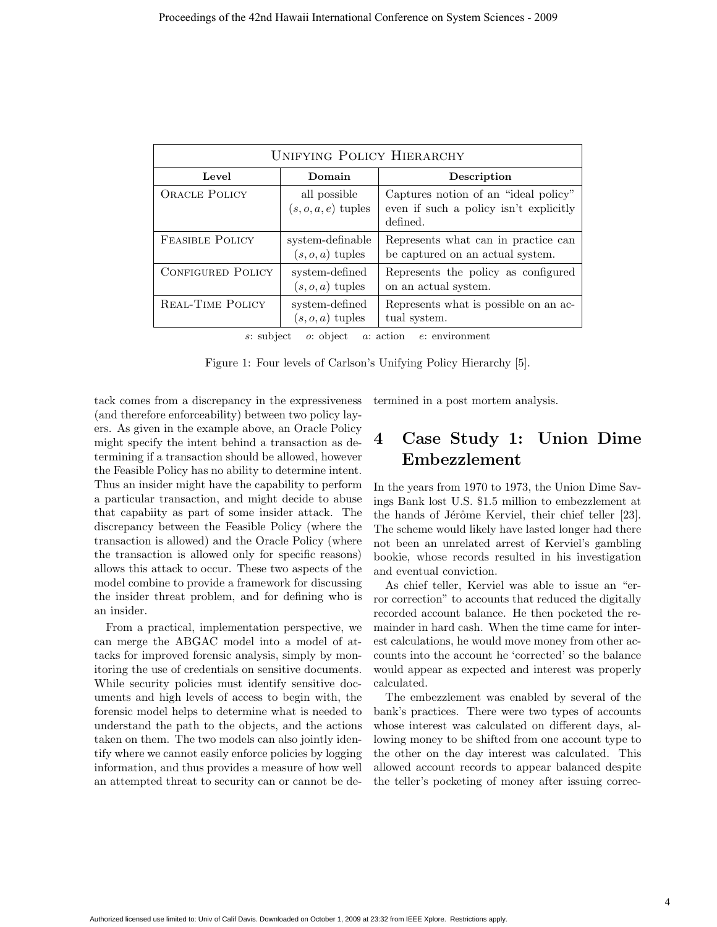| <b>UNIFYING POLICY HIERARCHY</b> |                                        |                                                                                            |
|----------------------------------|----------------------------------------|--------------------------------------------------------------------------------------------|
| Level                            | Domain                                 | Description                                                                                |
| <b>ORACLE POLICY</b>             | all possible<br>$(s, o, a, e)$ tuples  | Captures notion of an "ideal policy"<br>even if such a policy isn't explicitly<br>defined. |
| <b>FEASIBLE POLICY</b>           | system-definable<br>$(s, o, a)$ tuples | Represents what can in practice can<br>be captured on an actual system.                    |
| <b>CONFIGURED POLICY</b>         | system-defined<br>$(s, o, a)$ tuples   | Represents the policy as configured<br>on an actual system.                                |
| <b>REAL-TIME POLICY</b>          | system-defined<br>$(s, o, a)$ tuples   | Represents what is possible on an ac-<br>tual system.                                      |

s: subject  $o:$  object  $a:$  action  $e:$  environment

Figure 1: Four levels of Carlson's Unifying Policy Hierarchy [5].

tack comes from a discrepancy in the expressiveness (and therefore enforceability) between two policy layers. As given in the example above, an Oracle Policy might specify the intent behind a transaction as determining if a transaction should be allowed, however the Feasible Policy has no ability to determine intent. Thus an insider might have the capability to perform a particular transaction, and might decide to abuse that capabiity as part of some insider attack. The discrepancy between the Feasible Policy (where the transaction is allowed) and the Oracle Policy (where the transaction is allowed only for specific reasons) allows this attack to occur. These two aspects of the model combine to provide a framework for discussing the insider threat problem, and for defining who is an insider.

From a practical, implementation perspective, we can merge the ABGAC model into a model of attacks for improved forensic analysis, simply by monitoring the use of credentials on sensitive documents. While security policies must identify sensitive documents and high levels of access to begin with, the forensic model helps to determine what is needed to understand the path to the objects, and the actions taken on them. The two models can also jointly identify where we cannot easily enforce policies by logging information, and thus provides a measure of how well an attempted threat to security can or cannot be determined in a post mortem analysis.

## **4 Case Study 1: Union Dime Embezzlement**

In the years from 1970 to 1973, the Union Dime Savings Bank lost U.S. \$1.5 million to embezzlement at the hands of Jérôme Kerviel, their chief teller [23]. The scheme would likely have lasted longer had there not been an unrelated arrest of Kerviel's gambling bookie, whose records resulted in his investigation and eventual conviction.

As chief teller, Kerviel was able to issue an "error correction" to accounts that reduced the digitally recorded account balance. He then pocketed the remainder in hard cash. When the time came for interest calculations, he would move money from other accounts into the account he 'corrected' so the balance would appear as expected and interest was properly calculated.

The embezzlement was enabled by several of the bank's practices. There were two types of accounts whose interest was calculated on different days, allowing money to be shifted from one account type to the other on the day interest was calculated. This allowed account records to appear balanced despite the teller's pocketing of money after issuing correc-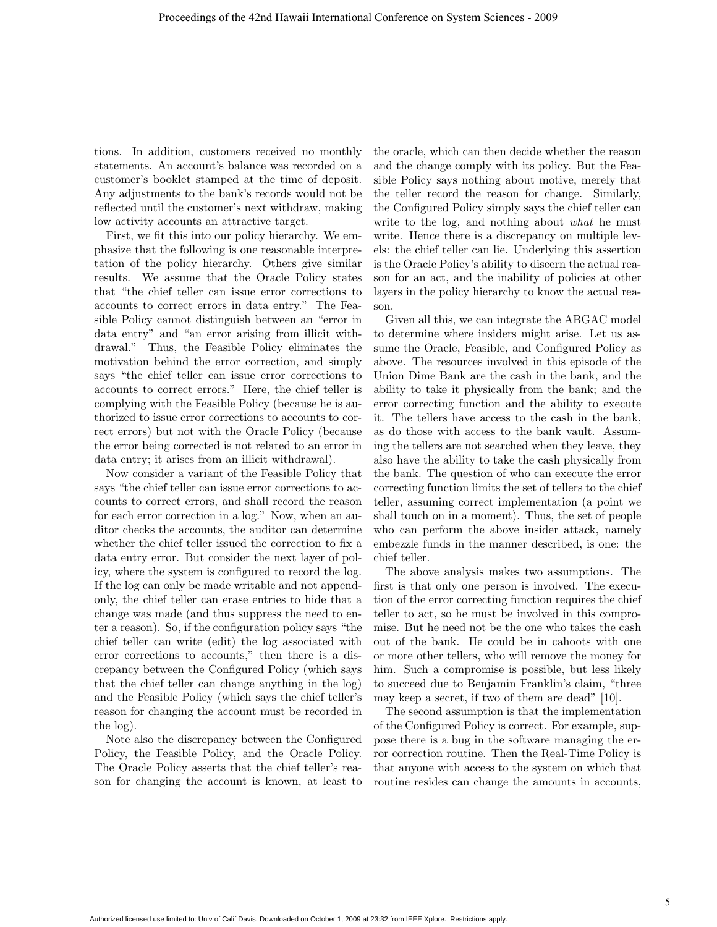tions. In addition, customers received no monthly statements. An account's balance was recorded on a customer's booklet stamped at the time of deposit. Any adjustments to the bank's records would not be reflected until the customer's next withdraw, making low activity accounts an attractive target.

First, we fit this into our policy hierarchy. We emphasize that the following is one reasonable interpretation of the policy hierarchy. Others give similar results. We assume that the Oracle Policy states that "the chief teller can issue error corrections to accounts to correct errors in data entry." The Feasible Policy cannot distinguish between an "error in data entry" and "an error arising from illicit withdrawal." Thus, the Feasible Policy eliminates the motivation behind the error correction, and simply says "the chief teller can issue error corrections to accounts to correct errors." Here, the chief teller is complying with the Feasible Policy (because he is authorized to issue error corrections to accounts to correct errors) but not with the Oracle Policy (because the error being corrected is not related to an error in data entry; it arises from an illicit withdrawal).

Now consider a variant of the Feasible Policy that says "the chief teller can issue error corrections to accounts to correct errors, and shall record the reason for each error correction in a log." Now, when an auditor checks the accounts, the auditor can determine whether the chief teller issued the correction to fix a data entry error. But consider the next layer of policy, where the system is configured to record the log. If the log can only be made writable and not appendonly, the chief teller can erase entries to hide that a change was made (and thus suppress the need to enter a reason). So, if the configuration policy says "the chief teller can write (edit) the log associated with error corrections to accounts," then there is a discrepancy between the Configured Policy (which says that the chief teller can change anything in the log) and the Feasible Policy (which says the chief teller's reason for changing the account must be recorded in the log).

Note also the discrepancy between the Configured Policy, the Feasible Policy, and the Oracle Policy. The Oracle Policy asserts that the chief teller's reason for changing the account is known, at least to the oracle, which can then decide whether the reason and the change comply with its policy. But the Feasible Policy says nothing about motive, merely that the teller record the reason for change. Similarly, the Configured Policy simply says the chief teller can write to the log, and nothing about what he must write. Hence there is a discrepancy on multiple levels: the chief teller can lie. Underlying this assertion is the Oracle Policy's ability to discern the actual reason for an act, and the inability of policies at other layers in the policy hierarchy to know the actual reason.

Given all this, we can integrate the ABGAC model to determine where insiders might arise. Let us assume the Oracle, Feasible, and Configured Policy as above. The resources involved in this episode of the Union Dime Bank are the cash in the bank, and the ability to take it physically from the bank; and the error correcting function and the ability to execute it. The tellers have access to the cash in the bank, as do those with access to the bank vault. Assuming the tellers are not searched when they leave, they also have the ability to take the cash physically from the bank. The question of who can execute the error correcting function limits the set of tellers to the chief teller, assuming correct implementation (a point we shall touch on in a moment). Thus, the set of people who can perform the above insider attack, namely embezzle funds in the manner described, is one: the chief teller.

The above analysis makes two assumptions. The first is that only one person is involved. The execution of the error correcting function requires the chief teller to act, so he must be involved in this compromise. But he need not be the one who takes the cash out of the bank. He could be in cahoots with one or more other tellers, who will remove the money for him. Such a compromise is possible, but less likely to succeed due to Benjamin Franklin's claim, "three may keep a secret, if two of them are dead" [10].

The second assumption is that the implementation of the Configured Policy is correct. For example, suppose there is a bug in the software managing the error correction routine. Then the Real-Time Policy is that anyone with access to the system on which that routine resides can change the amounts in accounts,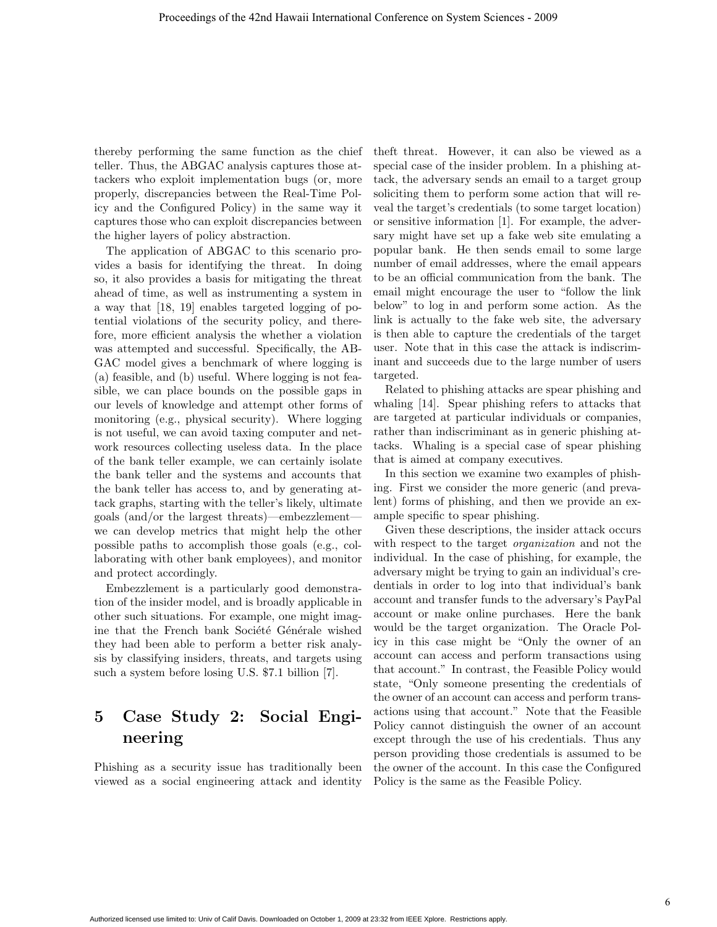thereby performing the same function as the chief teller. Thus, the ABGAC analysis captures those attackers who exploit implementation bugs (or, more properly, discrepancies between the Real-Time Policy and the Configured Policy) in the same way it captures those who can exploit discrepancies between the higher layers of policy abstraction.

The application of ABGAC to this scenario provides a basis for identifying the threat. In doing so, it also provides a basis for mitigating the threat ahead of time, as well as instrumenting a system in a way that [18, 19] enables targeted logging of potential violations of the security policy, and therefore, more efficient analysis the whether a violation was attempted and successful. Specifically, the AB-GAC model gives a benchmark of where logging is (a) feasible, and (b) useful. Where logging is not feasible, we can place bounds on the possible gaps in our levels of knowledge and attempt other forms of monitoring (e.g., physical security). Where logging is not useful, we can avoid taxing computer and network resources collecting useless data. In the place of the bank teller example, we can certainly isolate the bank teller and the systems and accounts that the bank teller has access to, and by generating attack graphs, starting with the teller's likely, ultimate goals (and/or the largest threats)—embezzlement we can develop metrics that might help the other possible paths to accomplish those goals (e.g., collaborating with other bank employees), and monitor and protect accordingly.

Embezzlement is a particularly good demonstration of the insider model, and is broadly applicable in other such situations. For example, one might imagine that the French bank Société Générale wished they had been able to perform a better risk analysis by classifying insiders, threats, and targets using such a system before losing U.S. \$7.1 billion [7].

# **5 Case Study 2: Social Engineering**

Phishing as a security issue has traditionally been viewed as a social engineering attack and identity theft threat. However, it can also be viewed as a special case of the insider problem. In a phishing attack, the adversary sends an email to a target group soliciting them to perform some action that will reveal the target's credentials (to some target location) or sensitive information [1]. For example, the adversary might have set up a fake web site emulating a popular bank. He then sends email to some large number of email addresses, where the email appears to be an official communication from the bank. The email might encourage the user to "follow the link below" to log in and perform some action. As the link is actually to the fake web site, the adversary is then able to capture the credentials of the target user. Note that in this case the attack is indiscriminant and succeeds due to the large number of users targeted.

Related to phishing attacks are spear phishing and whaling [14]. Spear phishing refers to attacks that are targeted at particular individuals or companies, rather than indiscriminant as in generic phishing attacks. Whaling is a special case of spear phishing that is aimed at company executives.

In this section we examine two examples of phishing. First we consider the more generic (and prevalent) forms of phishing, and then we provide an example specific to spear phishing.

Given these descriptions, the insider attack occurs with respect to the target *organization* and not the individual. In the case of phishing, for example, the adversary might be trying to gain an individual's credentials in order to log into that individual's bank account and transfer funds to the adversary's PayPal account or make online purchases. Here the bank would be the target organization. The Oracle Policy in this case might be "Only the owner of an account can access and perform transactions using that account." In contrast, the Feasible Policy would state, "Only someone presenting the credentials of the owner of an account can access and perform transactions using that account." Note that the Feasible Policy cannot distinguish the owner of an account except through the use of his credentials. Thus any person providing those credentials is assumed to be the owner of the account. In this case the Configured Policy is the same as the Feasible Policy.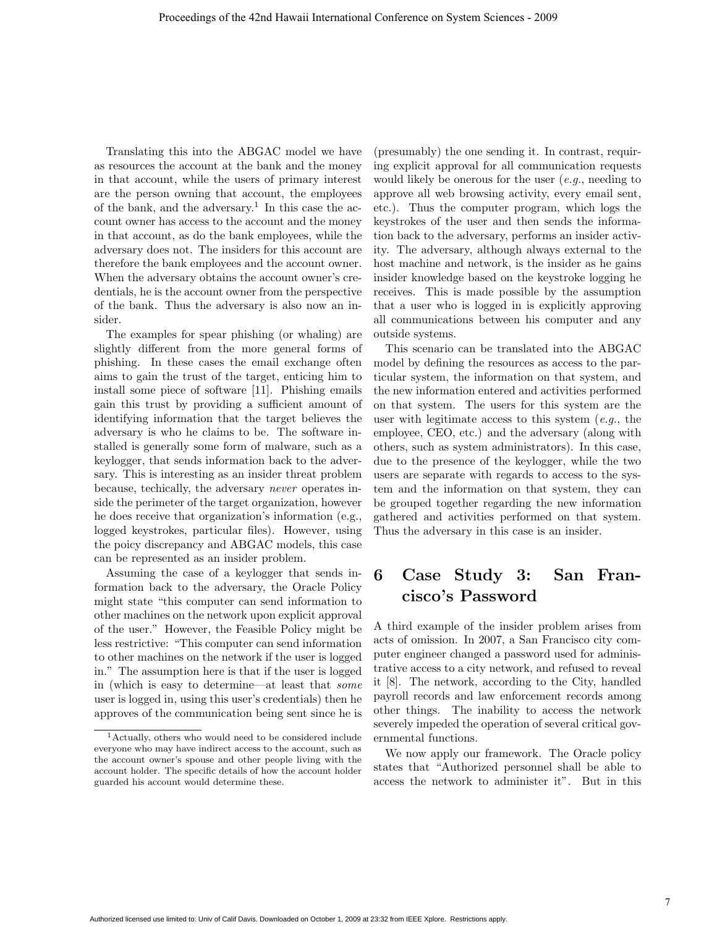Translating this into the ABGAC model we have as resources the account at the bank and the money in that account, while the users of primary interest are the person owning that account, the employees of the bank, and the adversary.<sup>1</sup> In this case the account owner has access to the account and the money in that account, as do the bank employees, while the adversary does not. The insiders for this account are therefore the bank employees and the account owner. When the adversary obtains the account owner's credentials, he is the account owner from the perspective of the bank. Thus the adversary is also now an insider.

The examples for spear phishing (or whaling) are slightly different from the more general forms of phishing. In these cases the email exchange often aims to gain the trust of the target, enticing him to install some piece of software [11]. Phishing emails gain this trust by providing a sufficient amount of identifying information that the target believes the adversary is who he claims to be. The software installed is generally some form of malware, such as a keylogger, that sends information back to the adversary. This is interesting as an insider threat problem because, techically, the adversary never operates inside the perimeter of the target organization, however he does receive that organization's information (e.g., logged keystrokes, particular files). However, using the poicy discrepancy and ABGAC models, this case can be represented as an insider problem.

Assuming the case of a keylogger that sends information back to the adversary, the Oracle Policy might state "this computer can send information to other machines on the network upon explicit approval of the user." However, the Feasible Policy might be less restrictive: "This computer can send information to other machines on the network if the user is logged in." The assumption here is that if the user is logged in (which is easy to determine—at least that some user is logged in, using this user's credentials) then he approves of the communication being sent since he is (presumably) the one sending it. In contrast, requiring explicit approval for all communication requests would likely be onerous for the user  $(e.g.,$  needing to approve all web browsing activity, every email sent, etc.). Thus the computer program, which logs the keystrokes of the user and then sends the information back to the adversary, performs an insider activity. The adversary, although always external to the host machine and network, is the insider as he gains insider knowledge based on the keystroke logging he receives. This is made possible by the assumption that a user who is logged in is explicitly approving all communications between his computer and any outside systems.

This scenario can be translated into the ABGAC model by defining the resources as access to the particular system, the information on that system, and the new information entered and activities performed on that system. The users for this system are the user with legitimate access to this system  $(e.g., the)$ employee, CEO, etc.) and the adversary (along with others, such as system administrators). In this case, due to the presence of the keylogger, while the two users are separate with regards to access to the system and the information on that system, they can be grouped together regarding the new information gathered and activities performed on that system. Thus the adversary in this case is an insider.

## **6 Case Study 3: San Francisco's Password**

A third example of the insider problem arises from acts of omission. In 2007, a San Francisco city computer engineer changed a password used for administrative access to a city network, and refused to reveal it [8]. The network, according to the City, handled payroll records and law enforcement records among other things. The inability to access the network severely impeded the operation of several critical governmental functions.

We now apply our framework. The Oracle policy states that "Authorized personnel shall be able to access the network to administer it". But in this

<sup>1</sup>Actually, others who would need to be considered include everyone who may have indirect access to the account, such as the account owner's spouse and other people living with the account holder. The specific details of how the account holder guarded his account would determine these.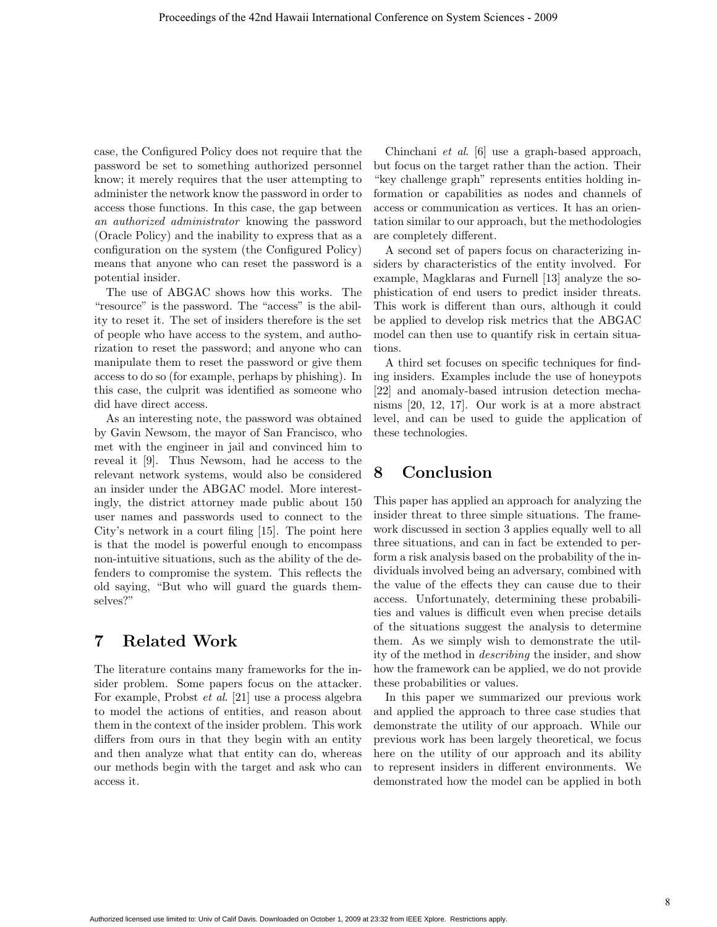case, the Configured Policy does not require that the password be set to something authorized personnel know; it merely requires that the user attempting to administer the network know the password in order to access those functions. In this case, the gap between an authorized administrator knowing the password (Oracle Policy) and the inability to express that as a configuration on the system (the Configured Policy) means that anyone who can reset the password is a potential insider.

The use of ABGAC shows how this works. The "resource" is the password. The "access" is the ability to reset it. The set of insiders therefore is the set of people who have access to the system, and authorization to reset the password; and anyone who can manipulate them to reset the password or give them access to do so (for example, perhaps by phishing). In this case, the culprit was identified as someone who did have direct access.

As an interesting note, the password was obtained by Gavin Newsom, the mayor of San Francisco, who met with the engineer in jail and convinced him to reveal it [9]. Thus Newsom, had he access to the relevant network systems, would also be considered an insider under the ABGAC model. More interestingly, the district attorney made public about 150 user names and passwords used to connect to the City's network in a court filing [15]. The point here is that the model is powerful enough to encompass non-intuitive situations, such as the ability of the defenders to compromise the system. This reflects the old saying, "But who will guard the guards themselves?"

### **7 Related Work**

The literature contains many frameworks for the insider problem. Some papers focus on the attacker. For example, Probst et al. [21] use a process algebra to model the actions of entities, and reason about them in the context of the insider problem. This work differs from ours in that they begin with an entity and then analyze what that entity can do, whereas our methods begin with the target and ask who can access it.

Chinchani et al. [6] use a graph-based approach, but focus on the target rather than the action. Their "key challenge graph" represents entities holding information or capabilities as nodes and channels of access or communication as vertices. It has an orientation similar to our approach, but the methodologies are completely different.

A second set of papers focus on characterizing insiders by characteristics of the entity involved. For example, Magklaras and Furnell [13] analyze the sophistication of end users to predict insider threats. This work is different than ours, although it could be applied to develop risk metrics that the ABGAC model can then use to quantify risk in certain situations.

A third set focuses on specific techniques for finding insiders. Examples include the use of honeypots [22] and anomaly-based intrusion detection mechanisms [20, 12, 17]. Our work is at a more abstract level, and can be used to guide the application of these technologies.

### **8 Conclusion**

This paper has applied an approach for analyzing the insider threat to three simple situations. The framework discussed in section 3 applies equally well to all three situations, and can in fact be extended to perform a risk analysis based on the probability of the individuals involved being an adversary, combined with the value of the effects they can cause due to their access. Unfortunately, determining these probabilities and values is difficult even when precise details of the situations suggest the analysis to determine them. As we simply wish to demonstrate the utility of the method in describing the insider, and show how the framework can be applied, we do not provide these probabilities or values.

In this paper we summarized our previous work and applied the approach to three case studies that demonstrate the utility of our approach. While our previous work has been largely theoretical, we focus here on the utility of our approach and its ability to represent insiders in different environments. We demonstrated how the model can be applied in both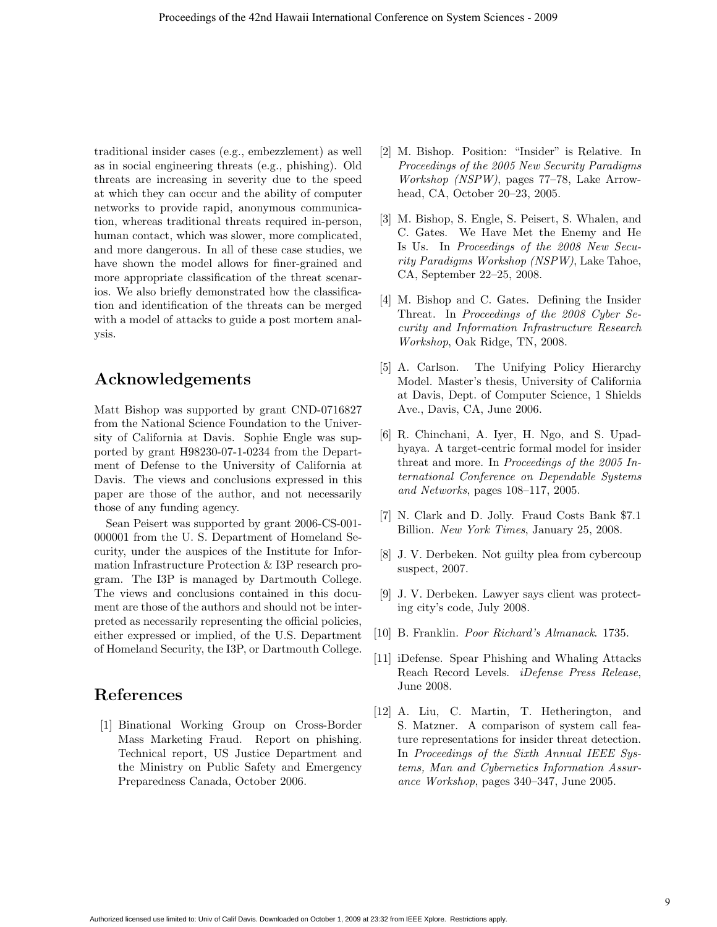traditional insider cases (e.g., embezzlement) as well as in social engineering threats (e.g., phishing). Old threats are increasing in severity due to the speed at which they can occur and the ability of computer networks to provide rapid, anonymous communication, whereas traditional threats required in-person, human contact, which was slower, more complicated, and more dangerous. In all of these case studies, we have shown the model allows for finer-grained and more appropriate classification of the threat scenarios. We also briefly demonstrated how the classification and identification of the threats can be merged with a model of attacks to guide a post mortem analysis.

### **Acknowledgements**

Matt Bishop was supported by grant CND-0716827 from the National Science Foundation to the University of California at Davis. Sophie Engle was supported by grant H98230-07-1-0234 from the Department of Defense to the University of California at Davis. The views and conclusions expressed in this paper are those of the author, and not necessarily those of any funding agency.

Sean Peisert was supported by grant 2006-CS-001- 000001 from the U. S. Department of Homeland Security, under the auspices of the Institute for Information Infrastructure Protection & I3P research program. The I3P is managed by Dartmouth College. The views and conclusions contained in this document are those of the authors and should not be interpreted as necessarily representing the official policies, either expressed or implied, of the U.S. Department of Homeland Security, the I3P, or Dartmouth College.

### **References**

[1] Binational Working Group on Cross-Border Mass Marketing Fraud. Report on phishing. Technical report, US Justice Department and the Ministry on Public Safety and Emergency Preparedness Canada, October 2006.

- [2] M. Bishop. Position: "Insider" is Relative. In Proceedings of the 2005 New Security Paradigms Workshop (NSPW), pages 77–78, Lake Arrowhead, CA, October 20–23, 2005.
- [3] M. Bishop, S. Engle, S. Peisert, S. Whalen, and C. Gates. We Have Met the Enemy and He Is Us. In Proceedings of the 2008 New Security Paradigms Workshop (NSPW), Lake Tahoe, CA, September 22–25, 2008.
- [4] M. Bishop and C. Gates. Defining the Insider Threat. In Proceedings of the 2008 Cyber Security and Information Infrastructure Research Workshop, Oak Ridge, TN, 2008.
- [5] A. Carlson. The Unifying Policy Hierarchy Model. Master's thesis, University of California at Davis, Dept. of Computer Science, 1 Shields Ave., Davis, CA, June 2006.
- [6] R. Chinchani, A. Iyer, H. Ngo, and S. Upadhyaya. A target-centric formal model for insider threat and more. In Proceedings of the 2005 International Conference on Dependable Systems and Networks, pages 108–117, 2005.
- [7] N. Clark and D. Jolly. Fraud Costs Bank \$7.1 Billion. New York Times, January 25, 2008.
- [8] J. V. Derbeken. Not guilty plea from cybercoup suspect, 2007.
- [9] J. V. Derbeken. Lawyer says client was protecting city's code, July 2008.
- [10] B. Franklin. Poor Richard's Almanack. 1735.
- [11] iDefense. Spear Phishing and Whaling Attacks Reach Record Levels. iDefense Press Release, June 2008.
- [12] A. Liu, C. Martin, T. Hetherington, and S. Matzner. A comparison of system call feature representations for insider threat detection. In Proceedings of the Sixth Annual IEEE Systems, Man and Cybernetics Information Assurance Workshop, pages 340–347, June 2005.